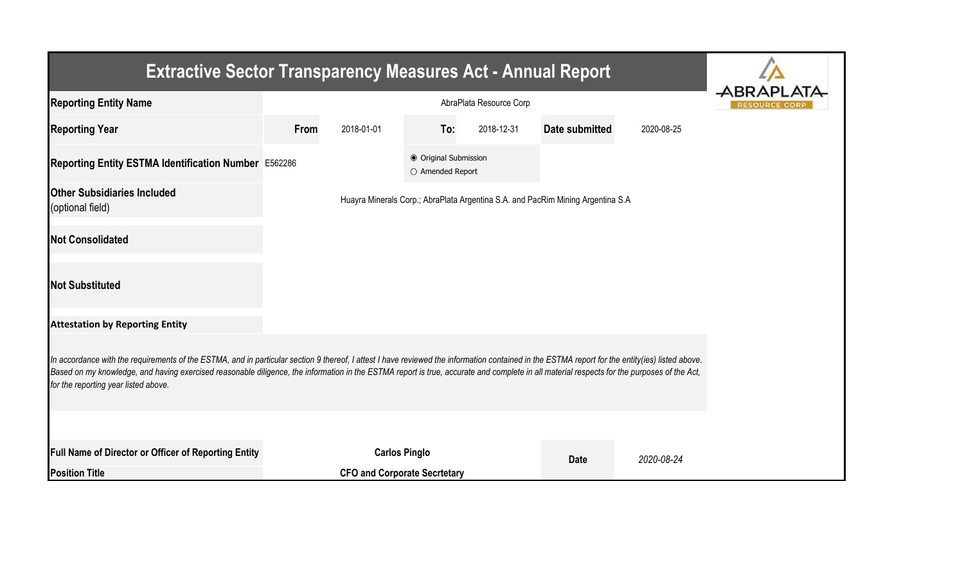| <b>Extractive Sector Transparency Measures Act - Annual Report</b>                                                                                                                                                                                                                                                                                                                                                                    |                    |                                     |                                           |            |                                                                                 |            |  |  |  |  |
|---------------------------------------------------------------------------------------------------------------------------------------------------------------------------------------------------------------------------------------------------------------------------------------------------------------------------------------------------------------------------------------------------------------------------------------|--------------------|-------------------------------------|-------------------------------------------|------------|---------------------------------------------------------------------------------|------------|--|--|--|--|
| <b>Reporting Entity Name</b>                                                                                                                                                                                                                                                                                                                                                                                                          |                    | AbraPlata Resource Corp             |                                           |            |                                                                                 |            |  |  |  |  |
| <b>Reporting Year</b>                                                                                                                                                                                                                                                                                                                                                                                                                 | 2018-01-01<br>From |                                     | To:                                       | 2018-12-31 | Date submitted                                                                  | 2020-08-25 |  |  |  |  |
| Reporting Entity ESTMA Identification Number E562286                                                                                                                                                                                                                                                                                                                                                                                  |                    |                                     | ● Original Submission<br>O Amended Report |            |                                                                                 |            |  |  |  |  |
| <b>Other Subsidiaries Included</b><br>(optional field)                                                                                                                                                                                                                                                                                                                                                                                |                    |                                     |                                           |            | Huayra Minerals Corp.; AbraPlata Argentina S.A. and PacRim Mining Argentina S.A |            |  |  |  |  |
| <b>Not Consolidated</b>                                                                                                                                                                                                                                                                                                                                                                                                               |                    |                                     |                                           |            |                                                                                 |            |  |  |  |  |
| <b>Not Substituted</b>                                                                                                                                                                                                                                                                                                                                                                                                                |                    |                                     |                                           |            |                                                                                 |            |  |  |  |  |
| <b>Attestation by Reporting Entity</b>                                                                                                                                                                                                                                                                                                                                                                                                |                    |                                     |                                           |            |                                                                                 |            |  |  |  |  |
| In accordance with the requirements of the ESTMA, and in particular section 9 thereof, I attest I have reviewed the information contained in the ESTMA report for the entity(ies) listed above.<br>Based on my knowledge, and having exercised reasonable diligence, the information in the ESTMA report is true, accurate and complete in all material respects for the purposes of the Act,<br>for the reporting year listed above. |                    |                                     |                                           |            |                                                                                 |            |  |  |  |  |
|                                                                                                                                                                                                                                                                                                                                                                                                                                       |                    |                                     |                                           |            |                                                                                 |            |  |  |  |  |
| Full Name of Director or Officer of Reporting Entity                                                                                                                                                                                                                                                                                                                                                                                  |                    | <b>Carlos Pinglo</b>                |                                           |            | <b>Date</b>                                                                     | 2020-08-24 |  |  |  |  |
| <b>Position Title</b>                                                                                                                                                                                                                                                                                                                                                                                                                 |                    | <b>CFO and Corporate Secrtetary</b> |                                           |            |                                                                                 |            |  |  |  |  |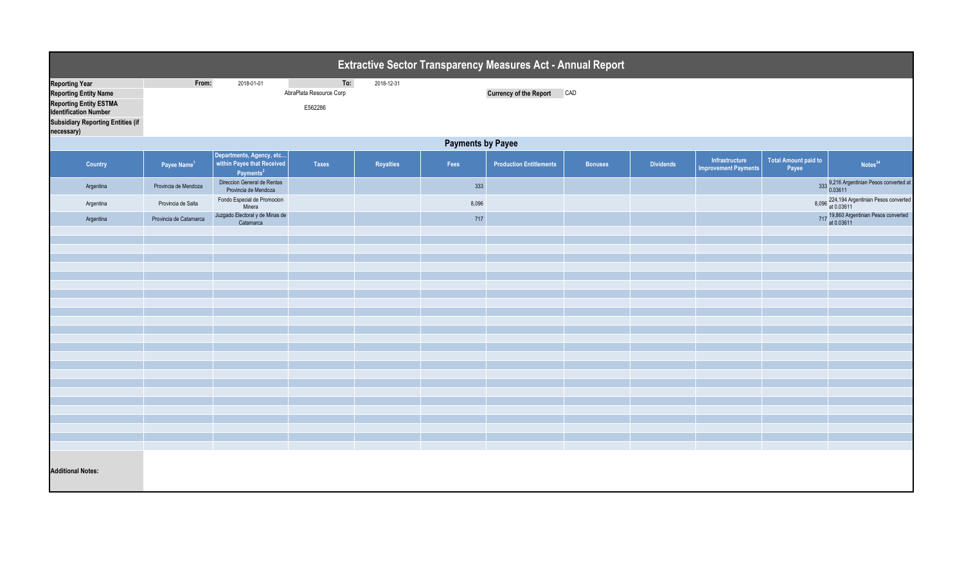| Extractive Sector Transparency Measures Act - Annual Report                                                                                                                      |                          |                                                                                 |                                           |            |       |                                |                |                  |                                               |                                      |                                                         |  |
|----------------------------------------------------------------------------------------------------------------------------------------------------------------------------------|--------------------------|---------------------------------------------------------------------------------|-------------------------------------------|------------|-------|--------------------------------|----------------|------------------|-----------------------------------------------|--------------------------------------|---------------------------------------------------------|--|
| <b>Reporting Year</b><br><b>Reporting Entity Name</b><br><b>Reporting Entity ESTMA</b><br><b>Identification Number</b><br><b>Subsidiary Reporting Entities (if</b><br>necessary) | From:                    | 2018-01-01                                                                      | To:<br>AbraPlata Resource Corp<br>E562286 | 2018-12-31 |       | <b>Currency of the Report</b>  | CAD            |                  |                                               |                                      |                                                         |  |
|                                                                                                                                                                                  | <b>Payments by Payee</b> |                                                                                 |                                           |            |       |                                |                |                  |                                               |                                      |                                                         |  |
| Country                                                                                                                                                                          | Payee Name <sup>1</sup>  | Departments, Agency, etc<br>within Payee that Received<br>Payments <sup>2</sup> | <b>Taxes</b>                              | Royalties  | Fees  | <b>Production Entitlements</b> | <b>Bonuses</b> | <b>Dividends</b> | Infrastructure<br><b>Improvement Payments</b> | <b>Total Amount paid to</b><br>Payee | Notes <sup>34</sup>                                     |  |
| Argentina                                                                                                                                                                        | Provincia de Mendoza     | Direccion General de Rentas<br>Provincia de Mendoza                             |                                           |            | 333   |                                |                |                  |                                               |                                      | 9,216 Argentinian Pesos converted at<br>0.03611         |  |
| Argentina                                                                                                                                                                        | Provincia de Salta       | Fondo Especial de Promocion<br>Minera<br>Juzgado Electoral y de Minas de        |                                           |            | 8,096 |                                |                |                  |                                               |                                      | 8,096 224,194 Argentinian Pesos converted<br>at 0.03611 |  |
| Argentina                                                                                                                                                                        | Provincia de Catamarca   | Catamarca                                                                       |                                           |            | 717   |                                |                |                  |                                               |                                      | 717 19,860 Argentinian Pesos converted<br>at 0.03611    |  |
|                                                                                                                                                                                  |                          |                                                                                 |                                           |            |       |                                |                |                  |                                               |                                      |                                                         |  |
|                                                                                                                                                                                  |                          |                                                                                 |                                           |            |       |                                |                |                  |                                               |                                      |                                                         |  |
|                                                                                                                                                                                  |                          |                                                                                 |                                           |            |       |                                |                |                  |                                               |                                      |                                                         |  |
|                                                                                                                                                                                  |                          |                                                                                 |                                           |            |       |                                |                |                  |                                               |                                      |                                                         |  |
|                                                                                                                                                                                  |                          |                                                                                 |                                           |            |       |                                |                |                  |                                               |                                      |                                                         |  |
|                                                                                                                                                                                  |                          |                                                                                 |                                           |            |       |                                |                |                  |                                               |                                      |                                                         |  |
|                                                                                                                                                                                  |                          |                                                                                 |                                           |            |       |                                |                |                  |                                               |                                      |                                                         |  |
|                                                                                                                                                                                  |                          |                                                                                 |                                           |            |       |                                |                |                  |                                               |                                      |                                                         |  |
|                                                                                                                                                                                  |                          |                                                                                 |                                           |            |       |                                |                |                  |                                               |                                      |                                                         |  |
|                                                                                                                                                                                  |                          |                                                                                 |                                           |            |       |                                |                |                  |                                               |                                      |                                                         |  |
|                                                                                                                                                                                  |                          |                                                                                 |                                           |            |       |                                |                |                  |                                               |                                      |                                                         |  |
| <b>Additional Notes:</b>                                                                                                                                                         |                          |                                                                                 |                                           |            |       |                                |                |                  |                                               |                                      |                                                         |  |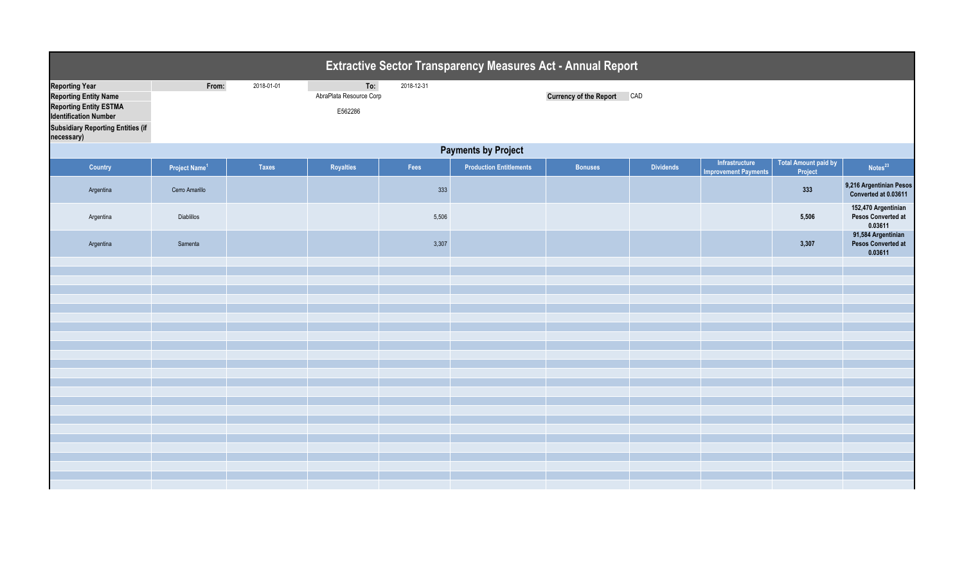|                                                                                                                                                                                  |                           |              |                                           |            | <b>Extractive Sector Transparency Measures Act - Annual Report</b> |                                   |                  |                                               |                                        |                                                      |
|----------------------------------------------------------------------------------------------------------------------------------------------------------------------------------|---------------------------|--------------|-------------------------------------------|------------|--------------------------------------------------------------------|-----------------------------------|------------------|-----------------------------------------------|----------------------------------------|------------------------------------------------------|
| <b>Reporting Year</b><br><b>Reporting Entity Name</b><br><b>Reporting Entity ESTMA</b><br><b>Identification Number</b><br><b>Subsidiary Reporting Entities (if</b><br>necessary) | From:                     | 2018-01-01   | To:<br>AbraPlata Resource Corp<br>E562286 | 2018-12-31 |                                                                    | <b>Currency of the Report CAD</b> |                  |                                               |                                        |                                                      |
|                                                                                                                                                                                  |                           |              |                                           |            | <b>Payments by Project</b>                                         |                                   |                  |                                               |                                        |                                                      |
| Country                                                                                                                                                                          | Project Name <sup>1</sup> | <b>Taxes</b> | Royalties                                 | Fees       | <b>Production Entitlements</b>                                     | <b>Bonuses</b>                    | <b>Dividends</b> | Infrastructure<br><b>Improvement Payments</b> | <b>Total Amount paid by</b><br>Project | Notes <sup>23</sup>                                  |
| Argentina                                                                                                                                                                        | Cerro Amarillo            |              |                                           | 333        |                                                                    |                                   |                  |                                               | 333                                    | 9,216 Argentinian Pesos<br>Converted at 0.03611      |
| Argentina                                                                                                                                                                        | Diablillos                |              |                                           | 5,506      |                                                                    |                                   |                  |                                               | 5,506                                  | 152,470 Argentinian<br>Pesos Converted at<br>0.03611 |
| Argentina                                                                                                                                                                        | Samenta                   |              |                                           | 3,307      |                                                                    |                                   |                  |                                               | 3,307                                  | 91,584 Argentinian<br>Pesos Converted at<br>0.03611  |
|                                                                                                                                                                                  |                           |              |                                           |            |                                                                    |                                   |                  |                                               |                                        |                                                      |
|                                                                                                                                                                                  |                           |              |                                           |            |                                                                    |                                   |                  |                                               |                                        |                                                      |
|                                                                                                                                                                                  |                           |              |                                           |            |                                                                    |                                   |                  |                                               |                                        |                                                      |
|                                                                                                                                                                                  |                           |              |                                           |            |                                                                    |                                   |                  |                                               |                                        |                                                      |
|                                                                                                                                                                                  |                           |              |                                           |            |                                                                    |                                   |                  |                                               |                                        |                                                      |
|                                                                                                                                                                                  |                           |              |                                           |            |                                                                    |                                   |                  |                                               |                                        |                                                      |
|                                                                                                                                                                                  |                           |              |                                           |            |                                                                    |                                   |                  |                                               |                                        |                                                      |
|                                                                                                                                                                                  |                           |              |                                           |            |                                                                    |                                   |                  |                                               |                                        |                                                      |
|                                                                                                                                                                                  |                           |              |                                           |            |                                                                    |                                   |                  |                                               |                                        |                                                      |
|                                                                                                                                                                                  |                           |              |                                           |            |                                                                    |                                   |                  |                                               |                                        |                                                      |
|                                                                                                                                                                                  |                           |              |                                           |            |                                                                    |                                   |                  |                                               |                                        |                                                      |
|                                                                                                                                                                                  |                           |              |                                           |            |                                                                    |                                   |                  |                                               |                                        |                                                      |
|                                                                                                                                                                                  |                           |              |                                           |            |                                                                    |                                   |                  |                                               |                                        |                                                      |